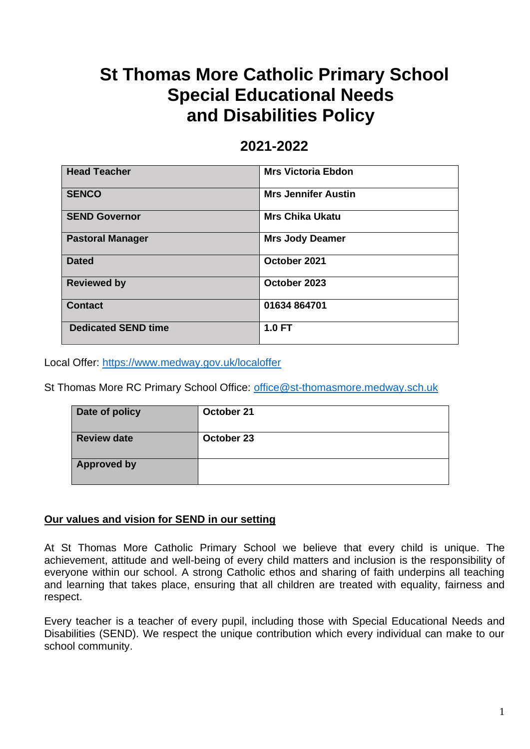# **St Thomas More Catholic Primary School Special Educational Needs and Disabilities Policy**

## **2021-2022**

| <b>Head Teacher</b>        | <b>Mrs Victoria Ebdon</b>  |
|----------------------------|----------------------------|
| <b>SENCO</b>               | <b>Mrs Jennifer Austin</b> |
| <b>SEND Governor</b>       | <b>Mrs Chika Ukatu</b>     |
| <b>Pastoral Manager</b>    | <b>Mrs Jody Deamer</b>     |
| <b>Dated</b>               | October 2021               |
| <b>Reviewed by</b>         | October 2023               |
| <b>Contact</b>             | 01634 864701               |
| <b>Dedicated SEND time</b> | $1.0 F$ T                  |

Local Offer:<https://www.medway.gov.uk/localoffer>

St Thomas More RC Primary School Office: [office@st-thomasmore.medway.sch.uk](mailto:office@st-thomasmore.medway.sch.uk)

| Date of policy     | October 21 |
|--------------------|------------|
| <b>Review date</b> | October 23 |
| <b>Approved by</b> |            |

#### **Our values and vision for SEND in our setting**

At St Thomas More Catholic Primary School we believe that every child is unique. The achievement, attitude and well-being of every child matters and inclusion is the responsibility of everyone within our school. A strong Catholic ethos and sharing of faith underpins all teaching and learning that takes place, ensuring that all children are treated with equality, fairness and respect.

Every teacher is a teacher of every pupil, including those with Special Educational Needs and Disabilities (SEND). We respect the unique contribution which every individual can make to our school community.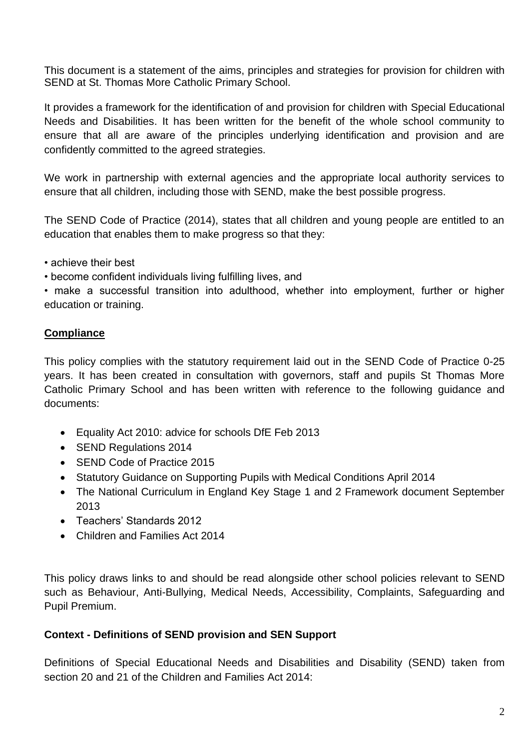This document is a statement of the aims, principles and strategies for provision for children with SEND at St. Thomas More Catholic Primary School.

It provides a framework for the identification of and provision for children with Special Educational Needs and Disabilities. It has been written for the benefit of the whole school community to ensure that all are aware of the principles underlying identification and provision and are confidently committed to the agreed strategies.

We work in partnership with external agencies and the appropriate local authority services to ensure that all children, including those with SEND, make the best possible progress.

The SEND Code of Practice (2014), states that all children and young people are entitled to an education that enables them to make progress so that they:

• achieve their best

• become confident individuals living fulfilling lives, and

• make a successful transition into adulthood, whether into employment, further or higher education or training.

## **Compliance**

This policy complies with the statutory requirement laid out in the SEND Code of Practice 0-25 years. It has been created in consultation with governors, staff and pupils St Thomas More Catholic Primary School and has been written with reference to the following guidance and documents:

- Equality Act 2010: advice for schools DfE Feb 2013
- SEND Regulations 2014
- SEND Code of Practice 2015
- Statutory Guidance on Supporting Pupils with Medical Conditions April 2014
- The National Curriculum in England Key Stage 1 and 2 Framework document September 2013
- Teachers' Standards 2012
- Children and Families Act 2014

This policy draws links to and should be read alongside other school policies relevant to SEND such as Behaviour, Anti-Bullying, Medical Needs, Accessibility, Complaints, Safeguarding and Pupil Premium.

## **Context - Definitions of SEND provision and SEN Support**

Definitions of Special Educational Needs and Disabilities and Disability (SEND) taken from section 20 and 21 of the Children and Families Act 2014: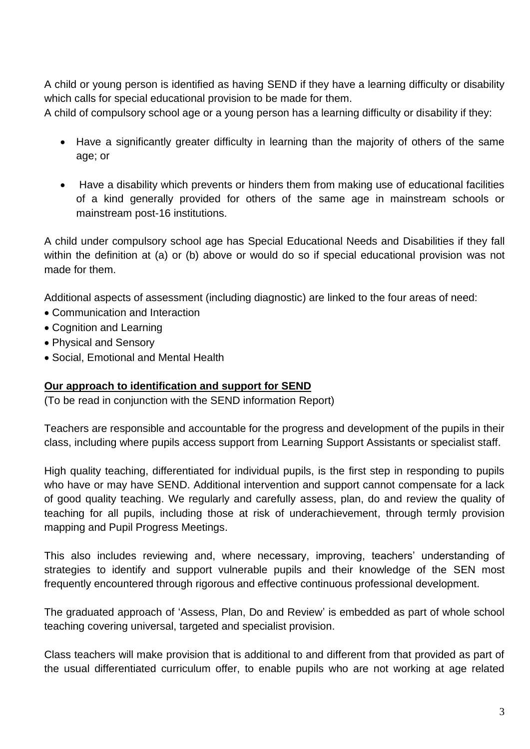A child or young person is identified as having SEND if they have a learning difficulty or disability which calls for special educational provision to be made for them.

A child of compulsory school age or a young person has a learning difficulty or disability if they:

- Have a significantly greater difficulty in learning than the majority of others of the same age; or
- Have a disability which prevents or hinders them from making use of educational facilities of a kind generally provided for others of the same age in mainstream schools or mainstream post-16 institutions.

A child under compulsory school age has Special Educational Needs and Disabilities if they fall within the definition at (a) or (b) above or would do so if special educational provision was not made for them.

Additional aspects of assessment (including diagnostic) are linked to the four areas of need:

- Communication and Interaction
- Cognition and Learning
- Physical and Sensory
- Social, Emotional and Mental Health

#### **Our approach to identification and support for SEND**

(To be read in conjunction with the SEND information Report)

Teachers are responsible and accountable for the progress and development of the pupils in their class, including where pupils access support from Learning Support Assistants or specialist staff.

High quality teaching, differentiated for individual pupils, is the first step in responding to pupils who have or may have SEND. Additional intervention and support cannot compensate for a lack of good quality teaching. We regularly and carefully assess, plan, do and review the quality of teaching for all pupils, including those at risk of underachievement, through termly provision mapping and Pupil Progress Meetings.

This also includes reviewing and, where necessary, improving, teachers' understanding of strategies to identify and support vulnerable pupils and their knowledge of the SEN most frequently encountered through rigorous and effective continuous professional development.

The graduated approach of 'Assess, Plan, Do and Review' is embedded as part of whole school teaching covering universal, targeted and specialist provision.

Class teachers will make provision that is additional to and different from that provided as part of the usual differentiated curriculum offer, to enable pupils who are not working at age related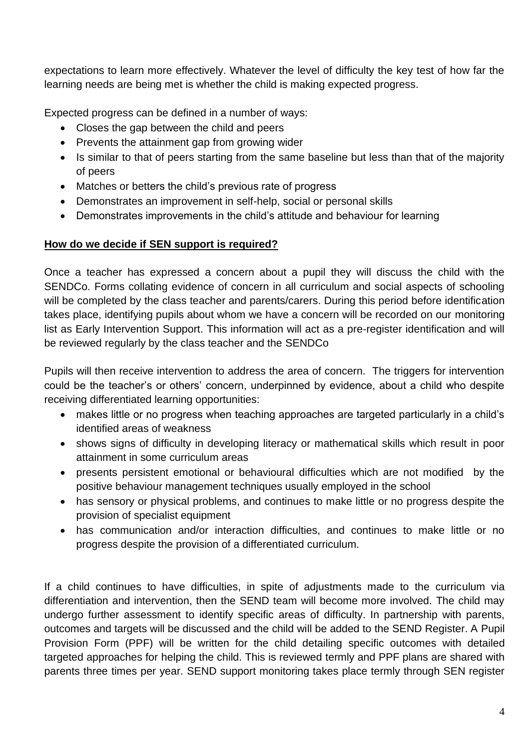expectations to learn more effectively. Whatever the level of difficulty the key test of how far the learning needs are being met is whether the child is making expected progress.

Expected progress can be defined in a number of ways:

- Closes the gap between the child and peers
- Prevents the attainment gap from growing wider
- Is similar to that of peers starting from the same baseline but less than that of the majority of peers
- Matches or betters the child's previous rate of progress
- Demonstrates an improvement in self-help, social or personal skills
- Demonstrates improvements in the child's attitude and behaviour for learning

#### **How do we decide if SEN support is required?**

Once a teacher has expressed a concern about a pupil they will discuss the child with the SENDCo. Forms collating evidence of concern in all curriculum and social aspects of schooling will be completed by the class teacher and parents/carers. During this period before identification takes place, identifying pupils about whom we have a concern will be recorded on our monitoring list as Early Intervention Support. This information will act as a pre-register identification and will be reviewed regularly by the class teacher and the SENDCo

Pupils will then receive intervention to address the area of concern. The triggers for intervention could be the teacher's or others' concern, underpinned by evidence, about a child who despite receiving differentiated learning opportunities:

- makes little or no progress when teaching approaches are targeted particularly in a child's identified areas of weakness
- shows signs of difficulty in developing literacy or mathematical skills which result in poor attainment in some curriculum areas
- presents persistent emotional or behavioural difficulties which are not modified by the positive behaviour management techniques usually employed in the school
- has sensory or physical problems, and continues to make little or no progress despite the provision of specialist equipment
- has communication and/or interaction difficulties, and continues to make little or no progress despite the provision of a differentiated curriculum.

If a child continues to have difficulties, in spite of adjustments made to the curriculum via differentiation and intervention, then the SEND team will become more involved. The child may undergo further assessment to identify specific areas of difficulty. In partnership with parents, outcomes and targets will be discussed and the child will be added to the SEND Register. A Pupil Provision Form (PPF) will be written for the child detailing specific outcomes with detailed targeted approaches for helping the child. This is reviewed termly and PPF plans are shared with parents three times per year. SEND support monitoring takes place termly through SEN register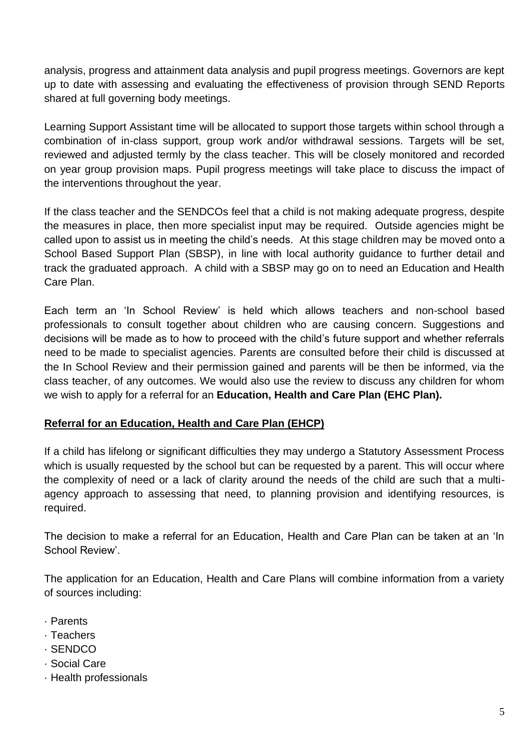analysis, progress and attainment data analysis and pupil progress meetings. Governors are kept up to date with assessing and evaluating the effectiveness of provision through SEND Reports shared at full governing body meetings.

Learning Support Assistant time will be allocated to support those targets within school through a combination of in-class support, group work and/or withdrawal sessions. Targets will be set, reviewed and adjusted termly by the class teacher. This will be closely monitored and recorded on year group provision maps. Pupil progress meetings will take place to discuss the impact of the interventions throughout the year.

If the class teacher and the SENDCOs feel that a child is not making adequate progress, despite the measures in place, then more specialist input may be required. Outside agencies might be called upon to assist us in meeting the child's needs. At this stage children may be moved onto a School Based Support Plan (SBSP), in line with local authority guidance to further detail and track the graduated approach. A child with a SBSP may go on to need an Education and Health Care Plan.

Each term an 'In School Review' is held which allows teachers and non-school based professionals to consult together about children who are causing concern. Suggestions and decisions will be made as to how to proceed with the child's future support and whether referrals need to be made to specialist agencies. Parents are consulted before their child is discussed at the In School Review and their permission gained and parents will be then be informed, via the class teacher, of any outcomes. We would also use the review to discuss any children for whom we wish to apply for a referral for an **Education, Health and Care Plan (EHC Plan).**

## **Referral for an Education, Health and Care Plan (EHCP)**

If a child has lifelong or significant difficulties they may undergo a Statutory Assessment Process which is usually requested by the school but can be requested by a parent. This will occur where the complexity of need or a lack of clarity around the needs of the child are such that a multiagency approach to assessing that need, to planning provision and identifying resources, is required.

The decision to make a referral for an Education, Health and Care Plan can be taken at an 'In School Review'.

The application for an Education, Health and Care Plans will combine information from a variety of sources including:

- · Parents
- · Teachers
- · SENDCO
- · Social Care
- · Health professionals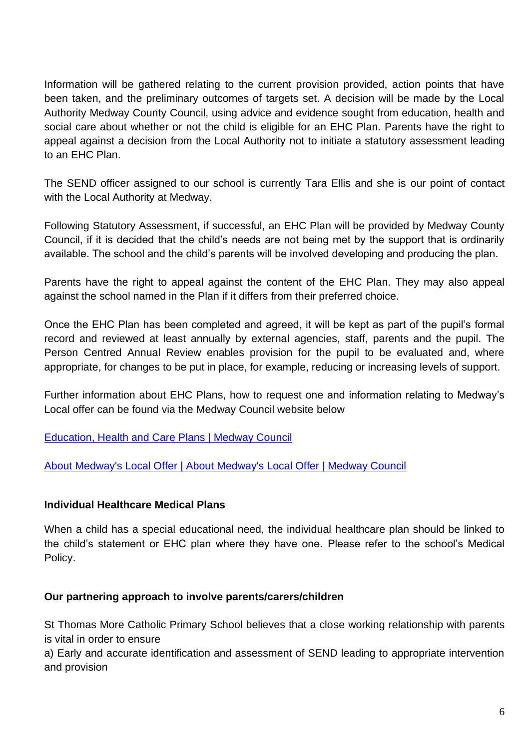Information will be gathered relating to the current provision provided, action points that have been taken, and the preliminary outcomes of targets set. A decision will be made by the Local Authority Medway County Council, using advice and evidence sought from education, health and social care about whether or not the child is eligible for an EHC Plan. Parents have the right to appeal against a decision from the Local Authority not to initiate a statutory assessment leading to an EHC Plan.

The SEND officer assigned to our school is currently Tara Ellis and she is our point of contact with the Local Authority at Medway.

Following Statutory Assessment, if successful, an EHC Plan will be provided by Medway County Council, if it is decided that the child's needs are not being met by the support that is ordinarily available. The school and the child's parents will be involved developing and producing the plan.

Parents have the right to appeal against the content of the EHC Plan. They may also appeal against the school named in the Plan if it differs from their preferred choice.

Once the EHC Plan has been completed and agreed, it will be kept as part of the pupil's formal record and reviewed at least annually by external agencies, staff, parents and the pupil. The Person Centred Annual Review enables provision for the pupil to be evaluated and, where appropriate, for changes to be put in place, for example, reducing or increasing levels of support.

Further information about EHC Plans, how to request one and information relating to Medway's Local offer can be found via the Medway Council website below

[Education, Health and Care Plans | Medway Council](https://www.medway.gov.uk/info/200311/ehcps)

[About Medway's Local Offer | About Medway's Local Offer | Medway Council](https://www.medway.gov.uk/info/200307/local_offer/831/about_medways_local_offer)

#### **Individual Healthcare Medical Plans**

When a child has a special educational need, the individual healthcare plan should be linked to the child's statement or EHC plan where they have one. Please refer to the school's Medical Policy.

#### **Our partnering approach to involve parents/carers/children**

St Thomas More Catholic Primary School believes that a close working relationship with parents is vital in order to ensure

a) Early and accurate identification and assessment of SEND leading to appropriate intervention and provision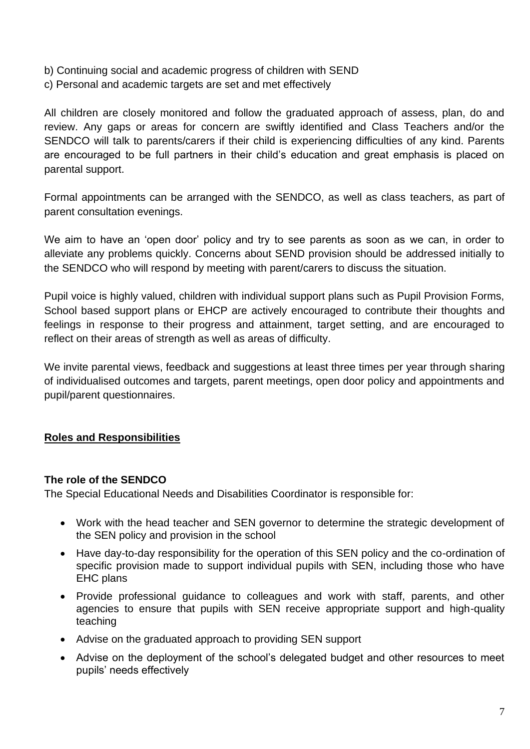- b) Continuing social and academic progress of children with SEND
- c) Personal and academic targets are set and met effectively

All children are closely monitored and follow the graduated approach of assess, plan, do and review. Any gaps or areas for concern are swiftly identified and Class Teachers and/or the SENDCO will talk to parents/carers if their child is experiencing difficulties of any kind. Parents are encouraged to be full partners in their child's education and great emphasis is placed on parental support.

Formal appointments can be arranged with the SENDCO, as well as class teachers, as part of parent consultation evenings.

We aim to have an 'open door' policy and try to see parents as soon as we can, in order to alleviate any problems quickly. Concerns about SEND provision should be addressed initially to the SENDCO who will respond by meeting with parent/carers to discuss the situation.

Pupil voice is highly valued, children with individual support plans such as Pupil Provision Forms, School based support plans or EHCP are actively encouraged to contribute their thoughts and feelings in response to their progress and attainment, target setting, and are encouraged to reflect on their areas of strength as well as areas of difficulty.

We invite parental views, feedback and suggestions at least three times per year through sharing of individualised outcomes and targets, parent meetings, open door policy and appointments and pupil/parent questionnaires.

## **Roles and Responsibilities**

#### **The role of the SENDCO**

The Special Educational Needs and Disabilities Coordinator is responsible for:

- Work with the head teacher and SEN governor to determine the strategic development of the SEN policy and provision in the school
- Have day-to-day responsibility for the operation of this SEN policy and the co-ordination of specific provision made to support individual pupils with SEN, including those who have EHC plans
- Provide professional guidance to colleagues and work with staff, parents, and other agencies to ensure that pupils with SEN receive appropriate support and high-quality teaching
- Advise on the graduated approach to providing SEN support
- Advise on the deployment of the school's delegated budget and other resources to meet pupils' needs effectively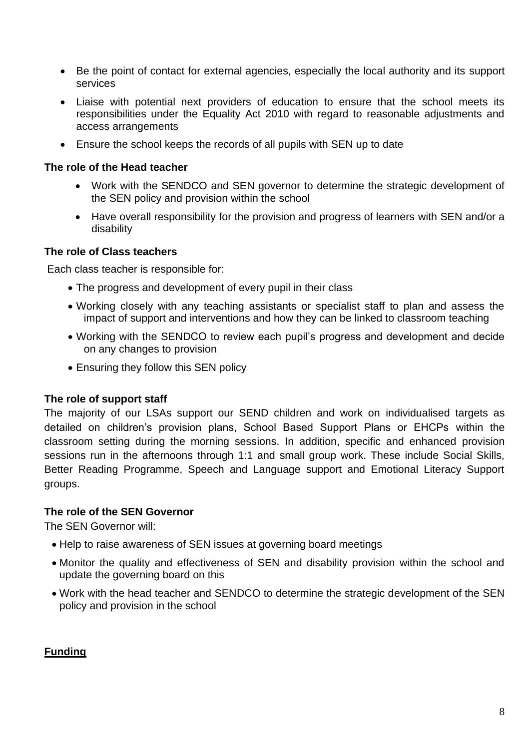- Be the point of contact for external agencies, especially the local authority and its support services
- Liaise with potential next providers of education to ensure that the school meets its responsibilities under the Equality Act 2010 with regard to reasonable adjustments and access arrangements
- Ensure the school keeps the records of all pupils with SEN up to date

#### **The role of the Head teacher**

- Work with the SENDCO and SEN governor to determine the strategic development of the SEN policy and provision within the school
- Have overall responsibility for the provision and progress of learners with SEN and/or a disability

#### **The role of Class teachers**

Each class teacher is responsible for:

- The progress and development of every pupil in their class
- Working closely with any teaching assistants or specialist staff to plan and assess the impact of support and interventions and how they can be linked to classroom teaching
- Working with the SENDCO to review each pupil's progress and development and decide on any changes to provision
- Ensuring they follow this SEN policy

#### **The role of support staff**

The majority of our LSAs support our SEND children and work on individualised targets as detailed on children's provision plans, School Based Support Plans or EHCPs within the classroom setting during the morning sessions. In addition, specific and enhanced provision sessions run in the afternoons through 1:1 and small group work. These include Social Skills, Better Reading Programme, Speech and Language support and Emotional Literacy Support groups.

#### **The role of the SEN Governor**

The SEN Governor will:

- Help to raise awareness of SEN issues at governing board meetings
- Monitor the quality and effectiveness of SEN and disability provision within the school and update the governing board on this
- Work with the head teacher and SENDCO to determine the strategic development of the SEN policy and provision in the school

#### **Funding**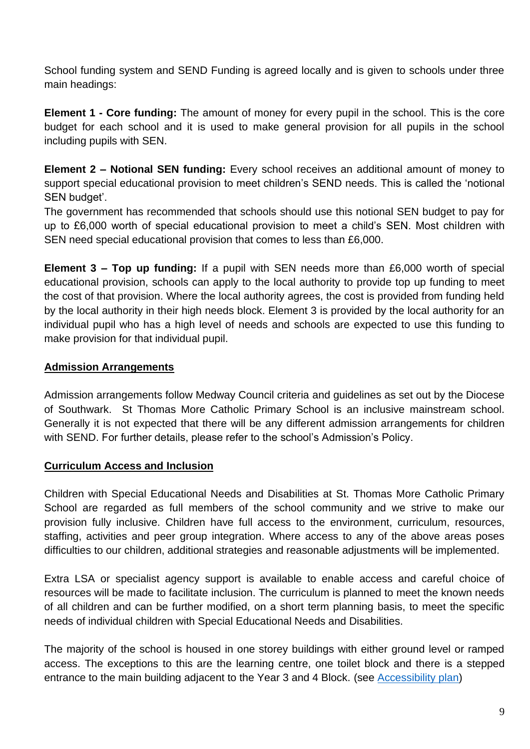School funding system and SEND Funding is agreed locally and is given to schools under three main headings:

**Element 1 - Core funding:** The amount of money for every pupil in the school. This is the core budget for each school and it is used to make general provision for all pupils in the school including pupils with SEN.

**Element 2 – Notional SEN funding:** Every school receives an additional amount of money to support special educational provision to meet children's SEND needs. This is called the 'notional SEN budget'.

The government has recommended that schools should use this notional SEN budget to pay for up to £6,000 worth of special educational provision to meet a child's SEN. Most children with SEN need special educational provision that comes to less than £6,000.

**Element 3 – Top up funding:** If a pupil with SEN needs more than £6,000 worth of special educational provision, schools can apply to the local authority to provide top up funding to meet the cost of that provision. Where the local authority agrees, the cost is provided from funding held by the local authority in their high needs block. Element 3 is provided by the local authority for an individual pupil who has a high level of needs and schools are expected to use this funding to make provision for that individual pupil.

## **Admission Arrangements**

Admission arrangements follow Medway Council criteria and guidelines as set out by the Diocese of Southwark. St Thomas More Catholic Primary School is an inclusive mainstream school. Generally it is not expected that there will be any different admission arrangements for children with SEND. For further details, please refer to the school's Admission's Policy.

#### **Curriculum Access and Inclusion**

Children with Special Educational Needs and Disabilities at St. Thomas More Catholic Primary School are regarded as full members of the school community and we strive to make our provision fully inclusive. Children have full access to the environment, curriculum, resources, staffing, activities and peer group integration. Where access to any of the above areas poses difficulties to our children, additional strategies and reasonable adjustments will be implemented.

Extra LSA or specialist agency support is available to enable access and careful choice of resources will be made to facilitate inclusion. The curriculum is planned to meet the known needs of all children and can be further modified, on a short term planning basis, to meet the specific needs of individual children with Special Educational Needs and Disabilities.

The majority of the school is housed in one storey buildings with either ground level or ramped access. The exceptions to this are the learning centre, one toilet block and there is a stepped entrance to the main building adjacent to the Year 3 and 4 Block. (see [Accessibility plan\)](https://st-thomasmore.medway.sch.uk/media/sell4rey/accessibility-plan.pdf)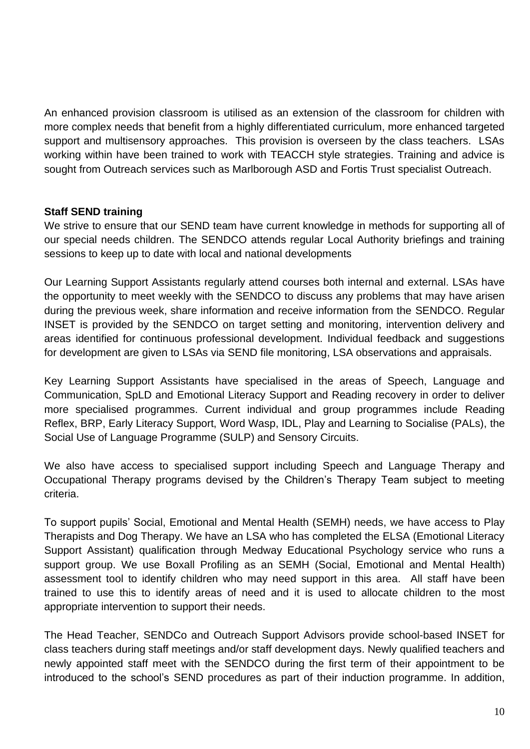An enhanced provision classroom is utilised as an extension of the classroom for children with more complex needs that benefit from a highly differentiated curriculum, more enhanced targeted support and multisensory approaches. This provision is overseen by the class teachers. LSAs working within have been trained to work with TEACCH style strategies. Training and advice is sought from Outreach services such as Marlborough ASD and Fortis Trust specialist Outreach.

#### **Staff SEND training**

We strive to ensure that our SEND team have current knowledge in methods for supporting all of our special needs children. The SENDCO attends regular Local Authority briefings and training sessions to keep up to date with local and national developments

Our Learning Support Assistants regularly attend courses both internal and external. LSAs have the opportunity to meet weekly with the SENDCO to discuss any problems that may have arisen during the previous week, share information and receive information from the SENDCO. Regular INSET is provided by the SENDCO on target setting and monitoring, intervention delivery and areas identified for continuous professional development. Individual feedback and suggestions for development are given to LSAs via SEND file monitoring, LSA observations and appraisals.

Key Learning Support Assistants have specialised in the areas of Speech, Language and Communication, SpLD and Emotional Literacy Support and Reading recovery in order to deliver more specialised programmes. Current individual and group programmes include Reading Reflex, BRP, Early Literacy Support, Word Wasp, IDL, Play and Learning to Socialise (PALs), the Social Use of Language Programme (SULP) and Sensory Circuits.

We also have access to specialised support including Speech and Language Therapy and Occupational Therapy programs devised by the Children's Therapy Team subject to meeting criteria.

To support pupils' Social, Emotional and Mental Health (SEMH) needs, we have access to Play Therapists and Dog Therapy. We have an LSA who has completed the ELSA (Emotional Literacy Support Assistant) qualification through Medway Educational Psychology service who runs a support group. We use Boxall Profiling as an SEMH (Social, Emotional and Mental Health) assessment tool to identify children who may need support in this area. All staff have been trained to use this to identify areas of need and it is used to allocate children to the most appropriate intervention to support their needs.

The Head Teacher, SENDCo and Outreach Support Advisors provide school-based INSET for class teachers during staff meetings and/or staff development days. Newly qualified teachers and newly appointed staff meet with the SENDCO during the first term of their appointment to be introduced to the school's SEND procedures as part of their induction programme. In addition,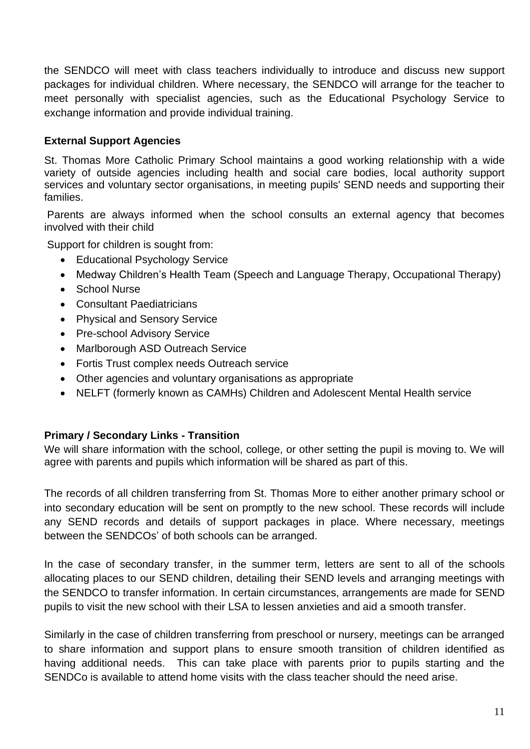the SENDCO will meet with class teachers individually to introduce and discuss new support packages for individual children. Where necessary, the SENDCO will arrange for the teacher to meet personally with specialist agencies, such as the Educational Psychology Service to exchange information and provide individual training.

## **External Support Agencies**

St. Thomas More Catholic Primary School maintains a good working relationship with a wide variety of outside agencies including health and social care bodies, local authority support services and voluntary sector organisations, in meeting pupils' SEND needs and supporting their families.

Parents are always informed when the school consults an external agency that becomes involved with their child

Support for children is sought from:

- Educational Psychology Service
- Medway Children's Health Team (Speech and Language Therapy, Occupational Therapy)
- School Nurse
- Consultant Paediatricians
- Physical and Sensory Service
- Pre-school Advisory Service
- Marlborough ASD Outreach Service
- Fortis Trust complex needs Outreach service
- Other agencies and voluntary organisations as appropriate
- NELFT (formerly known as CAMHs) Children and Adolescent Mental Health service

## **Primary / Secondary Links - Transition**

We will share information with the school, college, or other setting the pupil is moving to. We will agree with parents and pupils which information will be shared as part of this.

The records of all children transferring from St. Thomas More to either another primary school or into secondary education will be sent on promptly to the new school. These records will include any SEND records and details of support packages in place. Where necessary, meetings between the SENDCOs' of both schools can be arranged.

In the case of secondary transfer, in the summer term, letters are sent to all of the schools allocating places to our SEND children, detailing their SEND levels and arranging meetings with the SENDCO to transfer information. In certain circumstances, arrangements are made for SEND pupils to visit the new school with their LSA to lessen anxieties and aid a smooth transfer.

Similarly in the case of children transferring from preschool or nursery, meetings can be arranged to share information and support plans to ensure smooth transition of children identified as having additional needs. This can take place with parents prior to pupils starting and the SENDCo is available to attend home visits with the class teacher should the need arise.